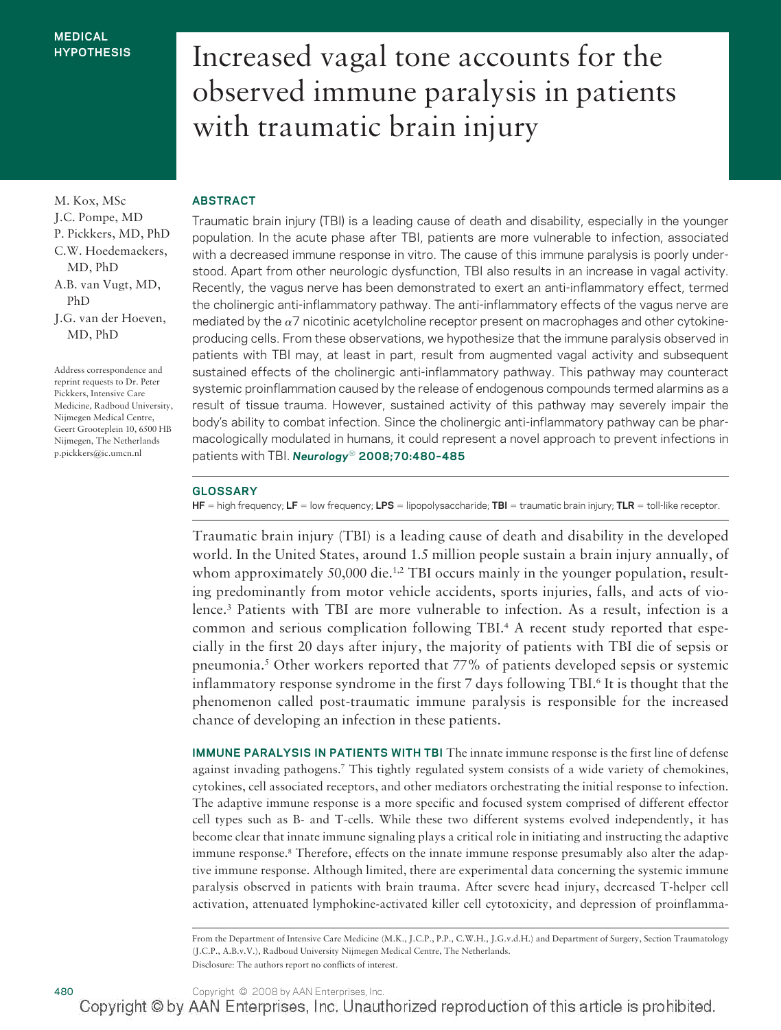M. Kox, MSc J.C. Pompe, MD P. Pickkers, MD, PhD C.W. Hoedemaekers, MD, PhD A.B. van Vugt, MD, PhD J.G. van der Hoeven, MD, PhD

Address correspondence and reprint requests to Dr. Peter Pickkers, Intensive Care Medicine, Radboud University, Nijmegen Medical Centre, Geert Grooteplein 10, 6500 HB Nijmegen, The Netherlands p.pickkers@ic.umcn.nl

## Increased vagal tone accounts for the observed immune paralysis in patients with traumatic brain injury

## **ABSTRACT**

Traumatic brain injury (TBI) is a leading cause of death and disability, especially in the younger population. In the acute phase after TBI, patients are more vulnerable to infection, associated with a decreased immune response in vitro. The cause of this immune paralysis is poorly understood. Apart from other neurologic dysfunction, TBI also results in an increase in vagal activity. Recently, the vagus nerve has been demonstrated to exert an anti-inflammatory effect, termed the cholinergic anti-inflammatory pathway. The anti-inflammatory effects of the vagus nerve are mediated by the  $\alpha$ 7 nicotinic acetylcholine receptor present on macrophages and other cytokineproducing cells. From these observations, we hypothesize that the immune paralysis observed in patients with TBI may, at least in part, result from augmented vagal activity and subsequent sustained effects of the cholinergic anti-inflammatory pathway. This pathway may counteract systemic proinflammation caused by the release of endogenous compounds termed alarmins as a result of tissue trauma. However, sustained activity of this pathway may severely impair the body's ability to combat infection. Since the cholinergic anti-inflammatory pathway can be pharmacologically modulated in humans, it could represent a novel approach to prevent infections in patients with TBI. *Neurology*® **2008;70:480–485**

## **GLOSSARY**

**HF** high frequency; **LF** low frequency; **LPS** lipopolysaccharide; **TBI** traumatic brain injury; **TLR** toll-like receptor.

Traumatic brain injury (TBI) is a leading cause of death and disability in the developed world. In the United States, around 1.5 million people sustain a brain injury annually, of whom approximately  $50,000$  die.<sup>1,2</sup> TBI occurs mainly in the younger population, resulting predominantly from motor vehicle accidents, sports injuries, falls, and acts of violence.3 Patients with TBI are more vulnerable to infection. As a result, infection is a common and serious complication following TBI.4 A recent study reported that especially in the first 20 days after injury, the majority of patients with TBI die of sepsis or pneumonia.5 Other workers reported that 77% of patients developed sepsis or systemic inflammatory response syndrome in the first 7 days following TBI.6 It is thought that the phenomenon called post-traumatic immune paralysis is responsible for the increased chance of developing an infection in these patients.

**IMMUNE PARALYSIS IN PATIENTS WITH TBI** The innate immune response is the first line of defense against invading pathogens.7 This tightly regulated system consists of a wide variety of chemokines, cytokines, cell associated receptors, and other mediators orchestrating the initial response to infection. The adaptive immune response is a more specific and focused system comprised of different effector cell types such as B- and T-cells. While these two different systems evolved independently, it has become clear that innate immune signaling plays a critical role in initiating and instructing the adaptive immune response.<sup>8</sup> Therefore, effects on the innate immune response presumably also alter the adaptive immune response. Although limited, there are experimental data concerning the systemic immune paralysis observed in patients with brain trauma. After severe head injury, decreased T-helper cell activation, attenuated lymphokine-activated killer cell cytotoxicity, and depression of proinflamma-

480 Copyright © 2008 by AAN Enterprises, Inc.

Copyright © by AAN Enterprises, Inc. Unauthorized reproduction of this article is prohibited.

From the Department of Intensive Care Medicine (M.K., J.C.P., P.P., C.W.H., J.G.v.d.H.) and Department of Surgery, Section Traumatology (J.C.P., A.B.v.V.), Radboud University Nijmegen Medical Centre, The Netherlands. Disclosure: The authors report no conflicts of interest.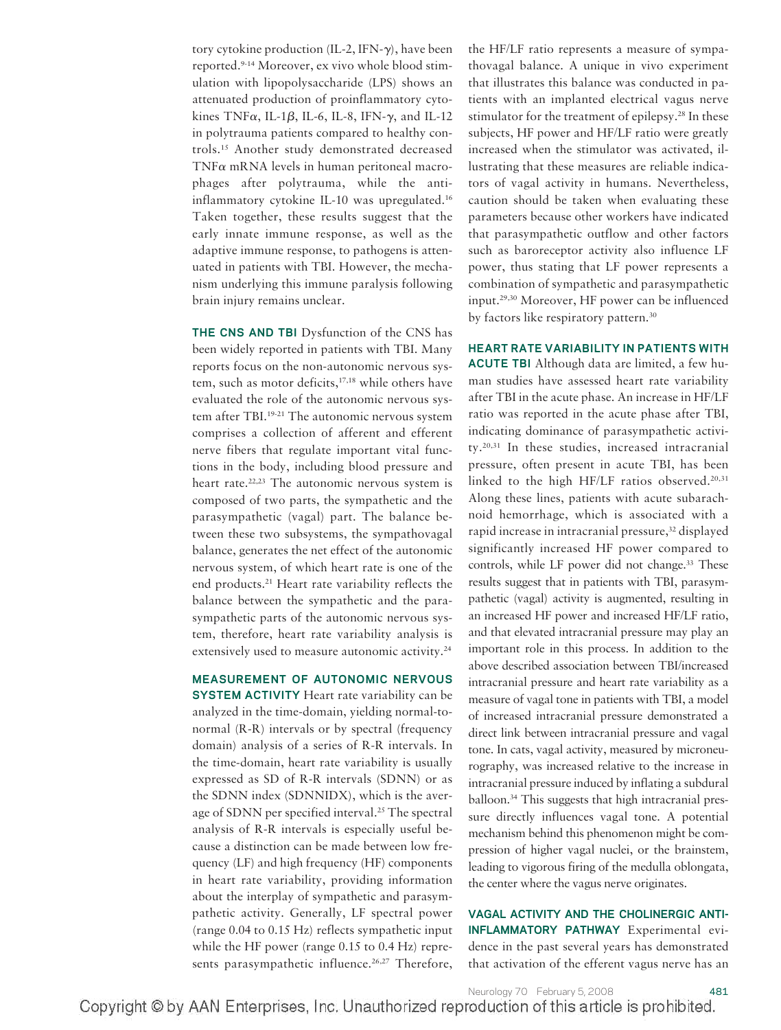tory cytokine production (IL-2, IFN- $\gamma$ ), have been reported.9-14 Moreover, ex vivo whole blood stimulation with lipopolysaccharide (LPS) shows an attenuated production of proinflammatory cytokines TNF $\alpha$ , IL-1 $\beta$ , IL-6, IL-8, IFN- $\gamma$ , and IL-12 in polytrauma patients compared to healthy controls.15 Another study demonstrated decreased  $TNF\alpha$  mRNA levels in human peritoneal macrophages after polytrauma, while the antiinflammatory cytokine IL-10 was upregulated.16 Taken together, these results suggest that the early innate immune response, as well as the adaptive immune response, to pathogens is attenuated in patients with TBI. However, the mechanism underlying this immune paralysis following brain injury remains unclear.

**THE CNS AND TBI** Dysfunction of the CNS has been widely reported in patients with TBI. Many reports focus on the non-autonomic nervous system, such as motor deficits,<sup>17,18</sup> while others have evaluated the role of the autonomic nervous system after TBI.<sup>19-21</sup> The autonomic nervous system comprises a collection of afferent and efferent nerve fibers that regulate important vital functions in the body, including blood pressure and heart rate.<sup>22,23</sup> The autonomic nervous system is composed of two parts, the sympathetic and the parasympathetic (vagal) part. The balance between these two subsystems, the sympathovagal balance, generates the net effect of the autonomic nervous system, of which heart rate is one of the end products.21 Heart rate variability reflects the balance between the sympathetic and the parasympathetic parts of the autonomic nervous system, therefore, heart rate variability analysis is extensively used to measure autonomic activity.<sup>24</sup>

**MEASUREMENT OF AUTONOMIC NERVOUS SYSTEM ACTIVITY** Heart rate variability can be analyzed in the time-domain, yielding normal-tonormal (R-R) intervals or by spectral (frequency domain) analysis of a series of R-R intervals. In the time-domain, heart rate variability is usually expressed as SD of R-R intervals (SDNN) or as the SDNN index (SDNNIDX), which is the average of SDNN per specified interval.<sup>25</sup> The spectral analysis of R-R intervals is especially useful because a distinction can be made between low frequency (LF) and high frequency (HF) components in heart rate variability, providing information about the interplay of sympathetic and parasympathetic activity. Generally, LF spectral power (range 0.04 to 0.15 Hz) reflects sympathetic input while the HF power (range 0.15 to 0.4 Hz) represents parasympathetic influence.<sup>26,27</sup> Therefore, the HF/LF ratio represents a measure of sympathovagal balance. A unique in vivo experiment that illustrates this balance was conducted in patients with an implanted electrical vagus nerve stimulator for the treatment of epilepsy.<sup>28</sup> In these subjects, HF power and HF/LF ratio were greatly increased when the stimulator was activated, illustrating that these measures are reliable indicators of vagal activity in humans. Nevertheless, caution should be taken when evaluating these parameters because other workers have indicated that parasympathetic outflow and other factors such as baroreceptor activity also influence LF power, thus stating that LF power represents a combination of sympathetic and parasympathetic input.29,30 Moreover, HF power can be influenced by factors like respiratory pattern.<sup>30</sup>

**HEART RATE VARIABILITY IN PATIENTS WITH**

**ACUTE TBI** Although data are limited, a few human studies have assessed heart rate variability after TBI in the acute phase. An increase in HF/LF ratio was reported in the acute phase after TBI, indicating dominance of parasympathetic activity.20,31 In these studies, increased intracranial pressure, often present in acute TBI, has been linked to the high HF/LF ratios observed.<sup>20,31</sup> Along these lines, patients with acute subarachnoid hemorrhage, which is associated with a rapid increase in intracranial pressure,<sup>32</sup> displayed significantly increased HF power compared to controls, while LF power did not change.<sup>33</sup> These results suggest that in patients with TBI, parasympathetic (vagal) activity is augmented, resulting in an increased HF power and increased HF/LF ratio, and that elevated intracranial pressure may play an important role in this process. In addition to the above described association between TBI/increased intracranial pressure and heart rate variability as a measure of vagal tone in patients with TBI, a model of increased intracranial pressure demonstrated a direct link between intracranial pressure and vagal tone. In cats, vagal activity, measured by microneurography, was increased relative to the increase in intracranial pressure induced by inflating a subdural balloon.34 This suggests that high intracranial pressure directly influences vagal tone. A potential mechanism behind this phenomenon might be compression of higher vagal nuclei, or the brainstem, leading to vigorous firing of the medulla oblongata, the center where the vagus nerve originates.

**VAGAL ACTIVITY AND THE CHOLINERGIC ANTI-INFLAMMATORY PATHWAY** Experimental evidence in the past several years has demonstrated that activation of the efferent vagus nerve has an

Neurology 70 February 5, 2008 481

Copyright © by AAN Enterprises, Inc. Unauthorized reproduction of this article is prohibited.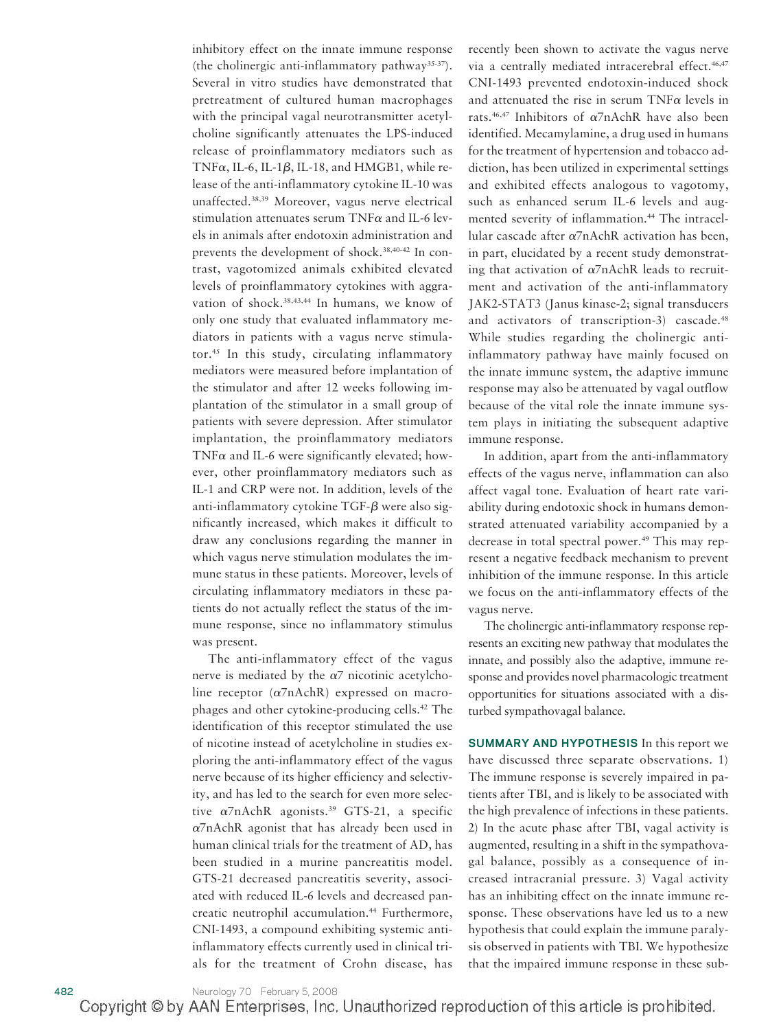inhibitory effect on the innate immune response (the cholinergic anti-inflammatory pathway35-37). Several in vitro studies have demonstrated that pretreatment of cultured human macrophages with the principal vagal neurotransmitter acetylcholine significantly attenuates the LPS-induced release of proinflammatory mediators such as TNF $\alpha$ , IL-6, IL-1 $\beta$ , IL-18, and HMGB1, while release of the anti-inflammatory cytokine IL-10 was unaffected.38,39 Moreover, vagus nerve electrical stimulation attenuates serum  $TNF\alpha$  and IL-6 levels in animals after endotoxin administration and prevents the development of shock.38,40-42 In contrast, vagotomized animals exhibited elevated levels of proinflammatory cytokines with aggravation of shock.38,43,44 In humans, we know of only one study that evaluated inflammatory mediators in patients with a vagus nerve stimulator.45 In this study, circulating inflammatory mediators were measured before implantation of the stimulator and after 12 weeks following implantation of the stimulator in a small group of patients with severe depression. After stimulator implantation, the proinflammatory mediators TNF $\alpha$  and IL-6 were significantly elevated; however, other proinflammatory mediators such as IL-1 and CRP were not. In addition, levels of the anti-inflammatory cytokine  $TGF- $\beta$  were also sig$ nificantly increased, which makes it difficult to draw any conclusions regarding the manner in which vagus nerve stimulation modulates the immune status in these patients. Moreover, levels of circulating inflammatory mediators in these patients do not actually reflect the status of the immune response, since no inflammatory stimulus was present.

The anti-inflammatory effect of the vagus nerve is mediated by the  $\alpha$ 7 nicotinic acetylcholine receptor  $(\alpha 7nAchR)$  expressed on macrophages and other cytokine-producing cells.42 The identification of this receptor stimulated the use of nicotine instead of acetylcholine in studies exploring the anti-inflammatory effect of the vagus nerve because of its higher efficiency and selectivity, and has led to the search for even more selective  $\alpha$ 7nAchR agonists.<sup>39</sup> GTS-21, a specific  $\alpha$ 7nAchR agonist that has already been used in human clinical trials for the treatment of AD, has been studied in a murine pancreatitis model. GTS-21 decreased pancreatitis severity, associated with reduced IL-6 levels and decreased pancreatic neutrophil accumulation.<sup>44</sup> Furthermore, CNI-1493, a compound exhibiting systemic antiinflammatory effects currently used in clinical trials for the treatment of Crohn disease, has recently been shown to activate the vagus nerve via a centrally mediated intracerebral effect.<sup>46,47</sup> CNI-1493 prevented endotoxin-induced shock and attenuated the rise in serum  $TNF\alpha$  levels in rats.<sup>46,47</sup> Inhibitors of  $\alpha$ 7nAchR have also been identified. Mecamylamine, a drug used in humans for the treatment of hypertension and tobacco addiction, has been utilized in experimental settings and exhibited effects analogous to vagotomy, such as enhanced serum IL-6 levels and augmented severity of inflammation.<sup>44</sup> The intracellular cascade after  $\alpha$ 7nAchR activation has been, in part, elucidated by a recent study demonstrating that activation of  $\alpha$ 7nAchR leads to recruitment and activation of the anti-inflammatory JAK2-STAT3 (Janus kinase-2; signal transducers and activators of transcription-3) cascade.<sup>48</sup> While studies regarding the cholinergic antiinflammatory pathway have mainly focused on the innate immune system, the adaptive immune response may also be attenuated by vagal outflow because of the vital role the innate immune system plays in initiating the subsequent adaptive immune response.

In addition, apart from the anti-inflammatory effects of the vagus nerve, inflammation can also affect vagal tone. Evaluation of heart rate variability during endotoxic shock in humans demonstrated attenuated variability accompanied by a decrease in total spectral power.<sup>49</sup> This may represent a negative feedback mechanism to prevent inhibition of the immune response. In this article we focus on the anti-inflammatory effects of the vagus nerve.

The cholinergic anti-inflammatory response represents an exciting new pathway that modulates the innate, and possibly also the adaptive, immune response and provides novel pharmacologic treatment opportunities for situations associated with a disturbed sympathovagal balance.

**SUMMARY AND HYPOTHESIS** In this report we have discussed three separate observations. 1) The immune response is severely impaired in patients after TBI, and is likely to be associated with the high prevalence of infections in these patients. 2) In the acute phase after TBI, vagal activity is augmented, resulting in a shift in the sympathovagal balance, possibly as a consequence of increased intracranial pressure. 3) Vagal activity has an inhibiting effect on the innate immune response. These observations have led us to a new hypothesis that could explain the immune paralysis observed in patients with TBI. We hypothesize that the impaired immune response in these sub-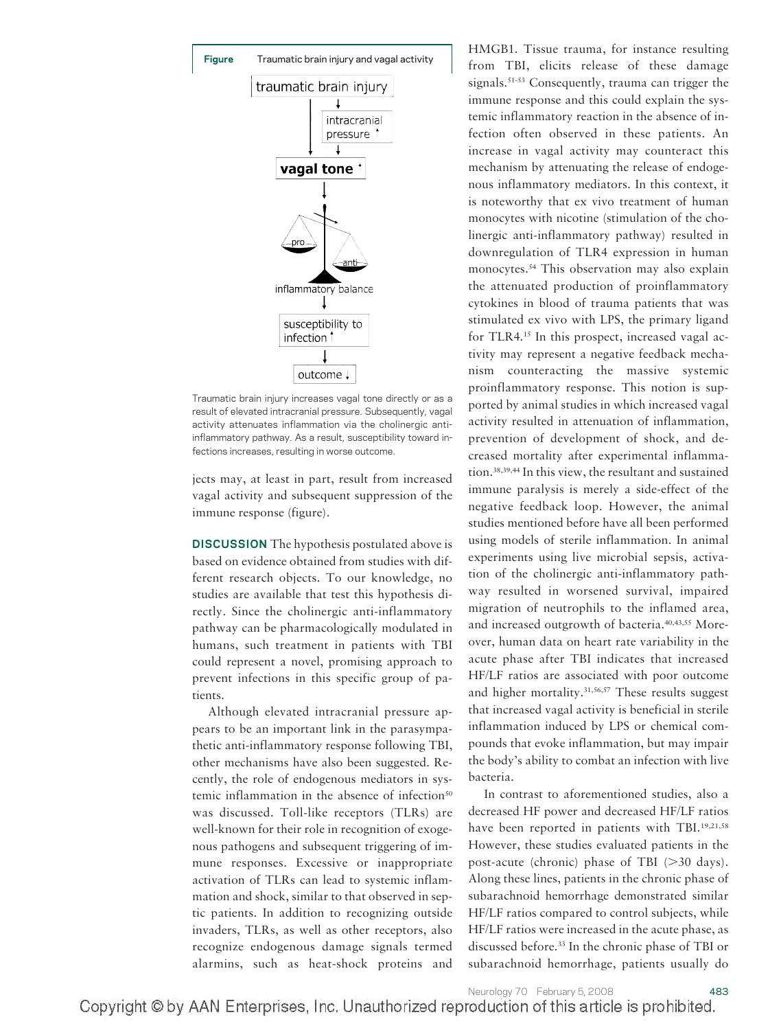



Traumatic brain injury increases vagal tone directly or as a result of elevated intracranial pressure. Subsequently, vagal activity attenuates inflammation via the cholinergic antiinflammatory pathway. As a result, susceptibility toward infections increases, resulting in worse outcome.

jects may, at least in part, result from increased vagal activity and subsequent suppression of the immune response (figure).

**DISCUSSION** The hypothesis postulated above is based on evidence obtained from studies with different research objects. To our knowledge, no studies are available that test this hypothesis directly. Since the cholinergic anti-inflammatory pathway can be pharmacologically modulated in humans, such treatment in patients with TBI could represent a novel, promising approach to prevent infections in this specific group of patients.

Although elevated intracranial pressure appears to be an important link in the parasympathetic anti-inflammatory response following TBI, other mechanisms have also been suggested. Recently, the role of endogenous mediators in systemic inflammation in the absence of infection<sup>50</sup> was discussed. Toll-like receptors (TLRs) are well-known for their role in recognition of exogenous pathogens and subsequent triggering of immune responses. Excessive or inappropriate activation of TLRs can lead to systemic inflammation and shock, similar to that observed in septic patients. In addition to recognizing outside invaders, TLRs, as well as other receptors, also recognize endogenous damage signals termed alarmins, such as heat-shock proteins and

HMGB1. Tissue trauma, for instance resulting from TBI, elicits release of these damage signals.<sup>51-53</sup> Consequently, trauma can trigger the immune response and this could explain the systemic inflammatory reaction in the absence of infection often observed in these patients. An increase in vagal activity may counteract this mechanism by attenuating the release of endogenous inflammatory mediators. In this context, it is noteworthy that ex vivo treatment of human monocytes with nicotine (stimulation of the cholinergic anti-inflammatory pathway) resulted in downregulation of TLR4 expression in human monocytes.54 This observation may also explain the attenuated production of proinflammatory cytokines in blood of trauma patients that was stimulated ex vivo with LPS, the primary ligand for TLR4.<sup>15</sup> In this prospect, increased vagal activity may represent a negative feedback mechanism counteracting the massive systemic proinflammatory response. This notion is supported by animal studies in which increased vagal activity resulted in attenuation of inflammation, prevention of development of shock, and decreased mortality after experimental inflammation.38,39,44 In this view, the resultant and sustained immune paralysis is merely a side-effect of the negative feedback loop. However, the animal studies mentioned before have all been performed using models of sterile inflammation. In animal experiments using live microbial sepsis, activation of the cholinergic anti-inflammatory pathway resulted in worsened survival, impaired migration of neutrophils to the inflamed area, and increased outgrowth of bacteria.<sup>40,43,55</sup> Moreover, human data on heart rate variability in the acute phase after TBI indicates that increased HF/LF ratios are associated with poor outcome and higher mortality.<sup>31,56,57</sup> These results suggest that increased vagal activity is beneficial in sterile inflammation induced by LPS or chemical compounds that evoke inflammation, but may impair the body's ability to combat an infection with live bacteria.

In contrast to aforementioned studies, also a decreased HF power and decreased HF/LF ratios have been reported in patients with TBI.<sup>19,21,58</sup> However, these studies evaluated patients in the post-acute (chronic) phase of TBI  $(>30 \text{ days}).$ Along these lines, patients in the chronic phase of subarachnoid hemorrhage demonstrated similar HF/LF ratios compared to control subjects, while HF/LF ratios were increased in the acute phase, as discussed before.33 In the chronic phase of TBI or subarachnoid hemorrhage, patients usually do

Neurology 70 February 5, 2008 483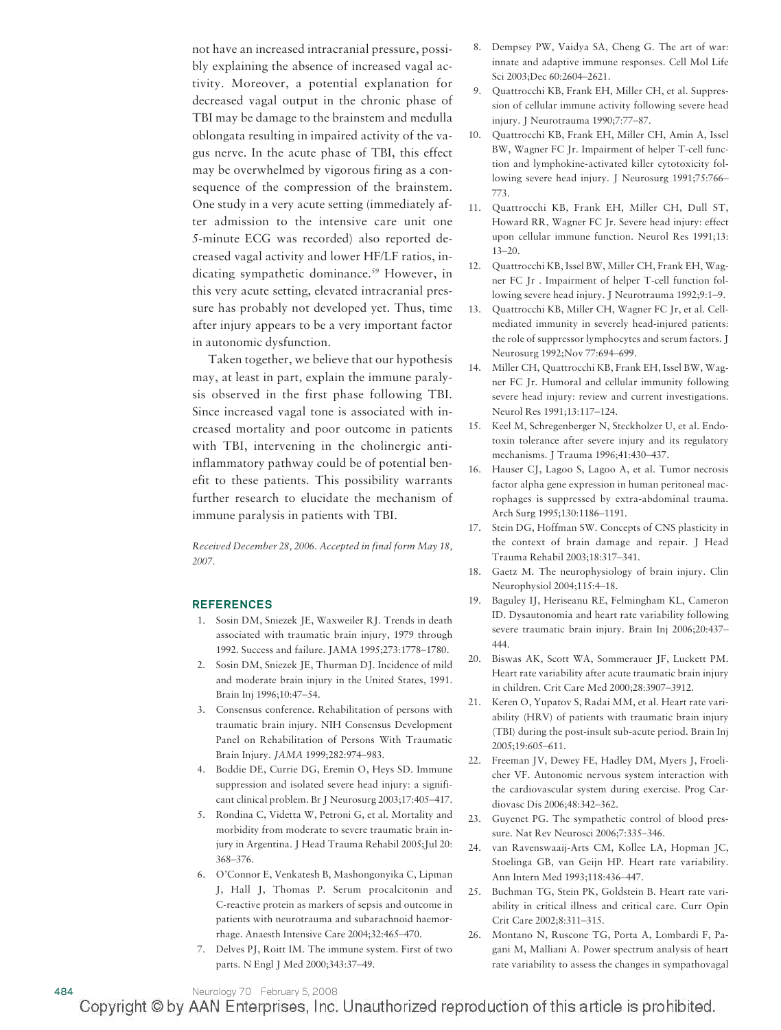not have an increased intracranial pressure, possibly explaining the absence of increased vagal activity. Moreover, a potential explanation for decreased vagal output in the chronic phase of TBI may be damage to the brainstem and medulla oblongata resulting in impaired activity of the vagus nerve. In the acute phase of TBI, this effect may be overwhelmed by vigorous firing as a consequence of the compression of the brainstem. One study in a very acute setting (immediately after admission to the intensive care unit one 5-minute ECG was recorded) also reported decreased vagal activity and lower HF/LF ratios, indicating sympathetic dominance.<sup>59</sup> However, in this very acute setting, elevated intracranial pressure has probably not developed yet. Thus, time after injury appears to be a very important factor in autonomic dysfunction.

Taken together, we believe that our hypothesis may, at least in part, explain the immune paralysis observed in the first phase following TBI. Since increased vagal tone is associated with increased mortality and poor outcome in patients with TBI, intervening in the cholinergic antiinflammatory pathway could be of potential benefit to these patients. This possibility warrants further research to elucidate the mechanism of immune paralysis in patients with TBI.

*Received December 28, 2006. Accepted in final form May 18, 2007.*

## **REFERENCES**

- 1. Sosin DM, Sniezek JE, Waxweiler RJ. Trends in death associated with traumatic brain injury, 1979 through 1992. Success and failure. JAMA 1995;273:1778–1780.
- 2. Sosin DM, Sniezek JE, Thurman DJ. Incidence of mild and moderate brain injury in the United States, 1991. Brain Inj 1996;10:47–54.
- 3. Consensus conference. Rehabilitation of persons with traumatic brain injury. NIH Consensus Development Panel on Rehabilitation of Persons With Traumatic Brain Injury. *JAMA* 1999;282:974–983.
- 4. Boddie DE, Currie DG, Eremin O, Heys SD. Immune suppression and isolated severe head injury: a significant clinical problem. Br J Neurosurg 2003;17:405–417.
- 5. Rondina C, Videtta W, Petroni G, et al. Mortality and morbidity from moderate to severe traumatic brain injury in Argentina. J Head Trauma Rehabil 2005;Jul 20: 368–376.
- 6. O'Connor E, Venkatesh B, Mashongonyika C, Lipman J, Hall J, Thomas P. Serum procalcitonin and C-reactive protein as markers of sepsis and outcome in patients with neurotrauma and subarachnoid haemorrhage. Anaesth Intensive Care 2004;32:465–470.
- 7. Delves PJ, Roitt IM. The immune system. First of two parts. N Engl J Med 2000;343:37–49.
- 8. Dempsey PW, Vaidya SA, Cheng G. The art of war: innate and adaptive immune responses. Cell Mol Life Sci 2003;Dec 60:2604–2621.
- 9. Quattrocchi KB, Frank EH, Miller CH, et al. Suppression of cellular immune activity following severe head injury. J Neurotrauma 1990;7:77–87.
- 10. Quattrocchi KB, Frank EH, Miller CH, Amin A, Issel BW, Wagner FC Jr. Impairment of helper T-cell function and lymphokine-activated killer cytotoxicity following severe head injury. J Neurosurg 1991;75:766– 773.
- 11. Quattrocchi KB, Frank EH, Miller CH, Dull ST, Howard RR, Wagner FC Jr. Severe head injury: effect upon cellular immune function. Neurol Res 1991;13: 13–20.
- 12. Quattrocchi KB, Issel BW, Miller CH, Frank EH, Wagner FC Jr . Impairment of helper T-cell function following severe head injury. J Neurotrauma 1992;9:1–9.
- 13. Quattrocchi KB, Miller CH, Wagner FC Jr, et al. Cellmediated immunity in severely head-injured patients: the role of suppressor lymphocytes and serum factors. J Neurosurg 1992;Nov 77:694–699.
- 14. Miller CH, Quattrocchi KB, Frank EH, Issel BW, Wagner FC Jr. Humoral and cellular immunity following severe head injury: review and current investigations. Neurol Res 1991;13:117–124.
- 15. Keel M, Schregenberger N, Steckholzer U, et al. Endotoxin tolerance after severe injury and its regulatory mechanisms. J Trauma 1996;41:430–437.
- 16. Hauser CJ, Lagoo S, Lagoo A, et al. Tumor necrosis factor alpha gene expression in human peritoneal macrophages is suppressed by extra-abdominal trauma. Arch Surg 1995;130:1186–1191.
- 17. Stein DG, Hoffman SW. Concepts of CNS plasticity in the context of brain damage and repair. J Head Trauma Rehabil 2003;18:317–341.
- 18. Gaetz M. The neurophysiology of brain injury. Clin Neurophysiol 2004;115:4–18.
- 19. Baguley IJ, Heriseanu RE, Felmingham KL, Cameron ID. Dysautonomia and heart rate variability following severe traumatic brain injury. Brain Inj 2006;20:437– 444.
- 20. Biswas AK, Scott WA, Sommerauer JF, Luckett PM. Heart rate variability after acute traumatic brain injury in children. Crit Care Med 2000;28:3907–3912.
- 21. Keren O, Yupatov S, Radai MM, et al. Heart rate variability (HRV) of patients with traumatic brain injury (TBI) during the post-insult sub-acute period. Brain Inj 2005;19:605–611.
- 22. Freeman JV, Dewey FE, Hadley DM, Myers J, Froelicher VF. Autonomic nervous system interaction with the cardiovascular system during exercise. Prog Cardiovasc Dis 2006;48:342–362.
- 23. Guyenet PG. The sympathetic control of blood pressure. Nat Rev Neurosci 2006;7:335–346.
- 24. van Ravenswaaij-Arts CM, Kollee LA, Hopman JC, Stoelinga GB, van Geijn HP. Heart rate variability. Ann Intern Med 1993;118:436–447.
- 25. Buchman TG, Stein PK, Goldstein B. Heart rate variability in critical illness and critical care. Curr Opin Crit Care 2002;8:311–315.
- 26. Montano N, Ruscone TG, Porta A, Lombardi F, Pagani M, Malliani A. Power spectrum analysis of heart rate variability to assess the changes in sympathovagal